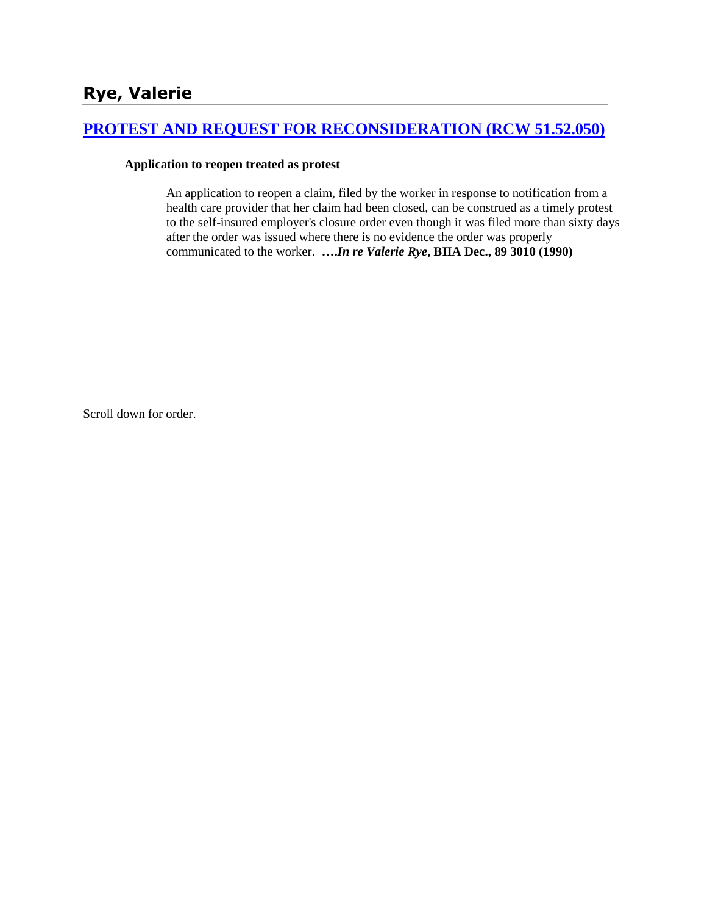## **[PROTEST AND REQUEST FOR RECONSIDERATION \(RCW 51.52.050\)](http://www.biia.wa.gov/SDSubjectIndex.html#PROTEST_AND_REQUEST_FOR_RECONSIDERATION)**

### **Application to reopen treated as protest**

An application to reopen a claim, filed by the worker in response to notification from a health care provider that her claim had been closed, can be construed as a timely protest to the self-insured employer's closure order even though it was filed more than sixty days after the order was issued where there is no evidence the order was properly communicated to the worker. **….***In re Valerie Rye***, BIIA Dec., 89 3010 (1990)**

Scroll down for order.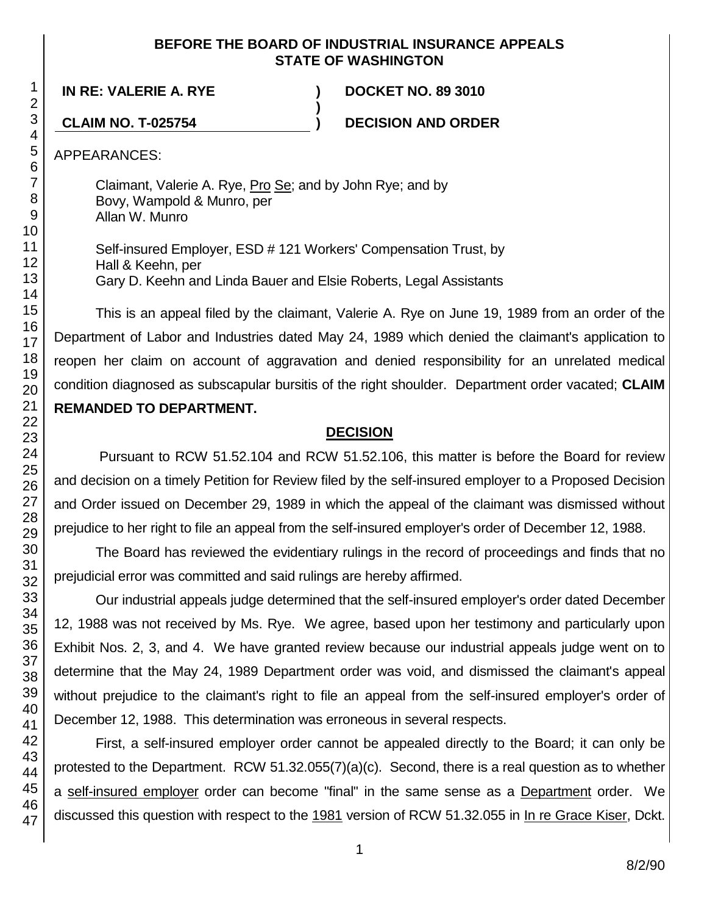### **BEFORE THE BOARD OF INDUSTRIAL INSURANCE APPEALS STATE OF WASHINGTON**

**IN RE: VALERIE A. RYE ) DOCKET NO. 89 3010**

**CLAIM NO. T-025754 ) DECISION AND ORDER**

APPEARANCES:

Claimant, Valerie A. Rye, Pro Se; and by John Rye; and by Bovy, Wampold & Munro, per Allan W. Munro

Self-insured Employer, ESD # 121 Workers' Compensation Trust, by Hall & Keehn, per Gary D. Keehn and Linda Bauer and Elsie Roberts, Legal Assistants

**)**

This is an appeal filed by the claimant, Valerie A. Rye on June 19, 1989 from an order of the Department of Labor and Industries dated May 24, 1989 which denied the claimant's application to reopen her claim on account of aggravation and denied responsibility for an unrelated medical condition diagnosed as subscapular bursitis of the right shoulder. Department order vacated; **CLAIM REMANDED TO DEPARTMENT.**

## **DECISION**

Pursuant to RCW 51.52.104 and RCW 51.52.106, this matter is before the Board for review and decision on a timely Petition for Review filed by the self-insured employer to a Proposed Decision and Order issued on December 29, 1989 in which the appeal of the claimant was dismissed without prejudice to her right to file an appeal from the self-insured employer's order of December 12, 1988.

The Board has reviewed the evidentiary rulings in the record of proceedings and finds that no prejudicial error was committed and said rulings are hereby affirmed.

Our industrial appeals judge determined that the self-insured employer's order dated December 12, 1988 was not received by Ms. Rye. We agree, based upon her testimony and particularly upon Exhibit Nos. 2, 3, and 4. We have granted review because our industrial appeals judge went on to determine that the May 24, 1989 Department order was void, and dismissed the claimant's appeal without prejudice to the claimant's right to file an appeal from the self-insured employer's order of December 12, 1988. This determination was erroneous in several respects.

First, a self-insured employer order cannot be appealed directly to the Board; it can only be protested to the Department. RCW 51.32.055(7)(a)(c). Second, there is a real question as to whether a self-insured employer order can become "final" in the same sense as a Department order. We discussed this question with respect to the 1981 version of RCW 51.32.055 in In re Grace Kiser, Dckt.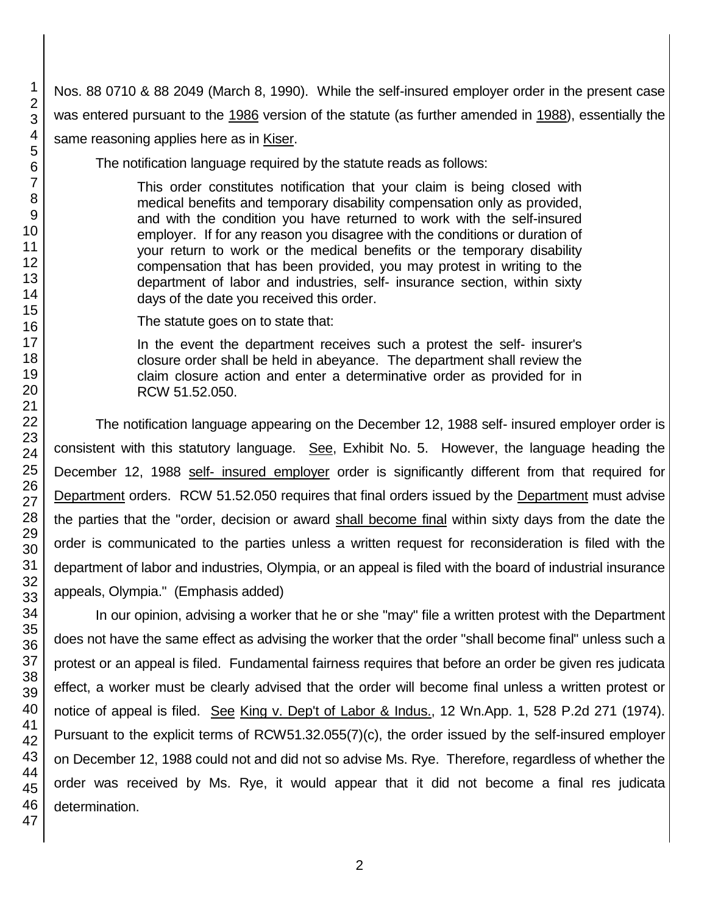Nos. 88 0710 & 88 2049 (March 8, 1990). While the self-insured employer order in the present case was entered pursuant to the 1986 version of the statute (as further amended in 1988), essentially the same reasoning applies here as in Kiser.

The notification language required by the statute reads as follows:

This order constitutes notification that your claim is being closed with medical benefits and temporary disability compensation only as provided, and with the condition you have returned to work with the self-insured employer. If for any reason you disagree with the conditions or duration of your return to work or the medical benefits or the temporary disability compensation that has been provided, you may protest in writing to the department of labor and industries, self- insurance section, within sixty days of the date you received this order.

The statute goes on to state that:

In the event the department receives such a protest the self- insurer's closure order shall be held in abeyance. The department shall review the claim closure action and enter a determinative order as provided for in RCW 51.52.050.

The notification language appearing on the December 12, 1988 self- insured employer order is consistent with this statutory language. See, Exhibit No. 5. However, the language heading the December 12, 1988 self- insured employer order is significantly different from that required for Department orders. RCW 51.52.050 requires that final orders issued by the Department must advise the parties that the "order, decision or award shall become final within sixty days from the date the order is communicated to the parties unless a written request for reconsideration is filed with the department of labor and industries, Olympia, or an appeal is filed with the board of industrial insurance appeals, Olympia." (Emphasis added)

In our opinion, advising a worker that he or she "may" file a written protest with the Department does not have the same effect as advising the worker that the order "shall become final" unless such a protest or an appeal is filed. Fundamental fairness requires that before an order be given res judicata effect, a worker must be clearly advised that the order will become final unless a written protest or notice of appeal is filed. See King v. Dep't of Labor & Indus., 12 Wn.App. 1, 528 P.2d 271 (1974). Pursuant to the explicit terms of RCW51.32.055(7)(c), the order issued by the self-insured employer on December 12, 1988 could not and did not so advise Ms. Rye. Therefore, regardless of whether the order was received by Ms. Rye, it would appear that it did not become a final res judicata determination.

1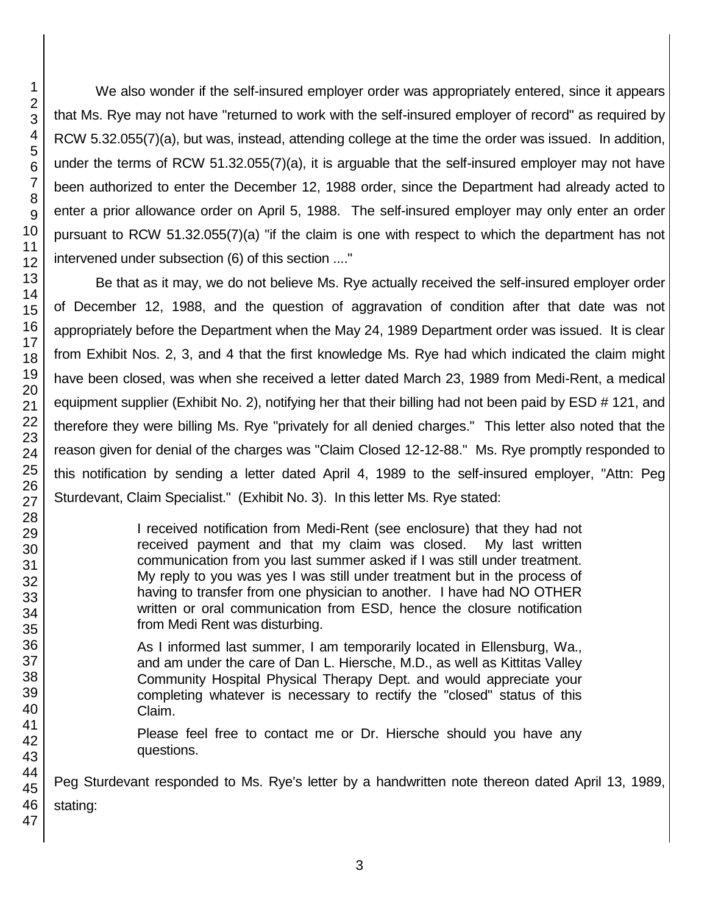1 2 3

We also wonder if the self-insured employer order was appropriately entered, since it appears that Ms. Rye may not have "returned to work with the self-insured employer of record" as required by RCW 5.32.055(7)(a), but was, instead, attending college at the time the order was issued. In addition, under the terms of RCW 51.32.055(7)(a), it is arguable that the self-insured employer may not have been authorized to enter the December 12, 1988 order, since the Department had already acted to enter a prior allowance order on April 5, 1988. The self-insured employer may only enter an order pursuant to RCW 51.32.055(7)(a) "if the claim is one with respect to which the department has not intervened under subsection (6) of this section ...."

Be that as it may, we do not believe Ms. Rye actually received the self-insured employer order of December 12, 1988, and the question of aggravation of condition after that date was not appropriately before the Department when the May 24, 1989 Department order was issued. It is clear from Exhibit Nos. 2, 3, and 4 that the first knowledge Ms. Rye had which indicated the claim might have been closed, was when she received a letter dated March 23, 1989 from Medi-Rent, a medical equipment supplier (Exhibit No. 2), notifying her that their billing had not been paid by ESD # 121, and therefore they were billing Ms. Rye "privately for all denied charges." This letter also noted that the reason given for denial of the charges was "Claim Closed 12-12-88." Ms. Rye promptly responded to this notification by sending a letter dated April 4, 1989 to the self-insured employer, "Attn: Peg Sturdevant, Claim Specialist." (Exhibit No. 3). In this letter Ms. Rye stated:

> I received notification from Medi-Rent (see enclosure) that they had not received payment and that my claim was closed. My last written communication from you last summer asked if I was still under treatment. My reply to you was yes I was still under treatment but in the process of having to transfer from one physician to another. I have had NO OTHER written or oral communication from ESD, hence the closure notification from Medi Rent was disturbing.

As I informed last summer, I am temporarily located in Ellensburg, Wa., and am under the care of Dan L. Hiersche, M.D., as well as Kittitas Valley Community Hospital Physical Therapy Dept. and would appreciate your completing whatever is necessary to rectify the "closed" status of this Claim.

Please feel free to contact me or Dr. Hiersche should you have any questions.

45 46 47 Peg Sturdevant responded to Ms. Rye's letter by a handwritten note thereon dated April 13, 1989, stating: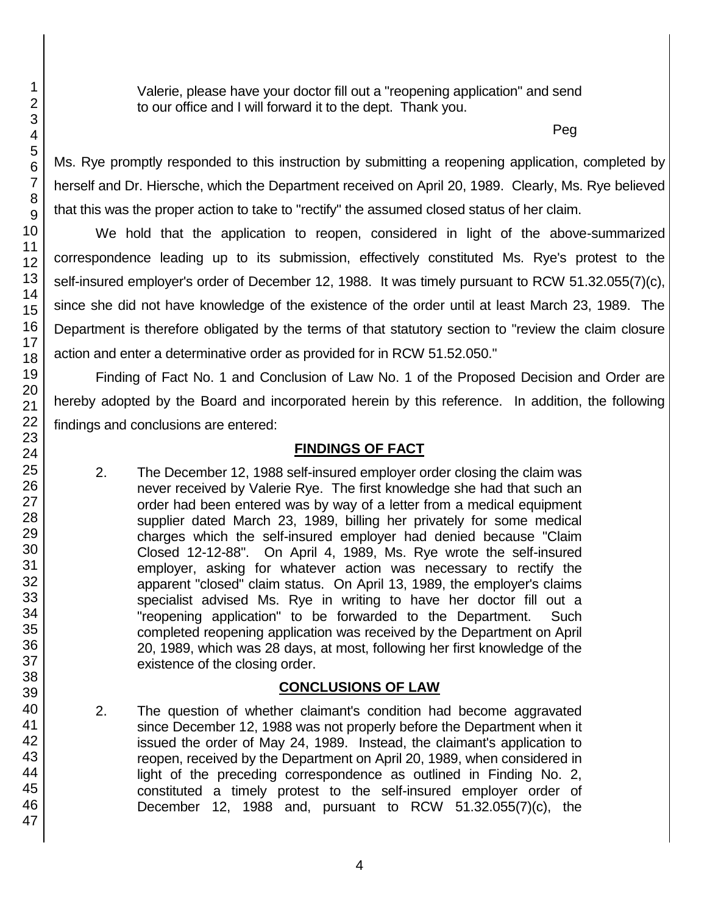Valerie, please have your doctor fill out a "reopening application" and send to our office and I will forward it to the dept. Thank you.

Peg

Ms. Rye promptly responded to this instruction by submitting a reopening application, completed by herself and Dr. Hiersche, which the Department received on April 20, 1989. Clearly, Ms. Rye believed that this was the proper action to take to "rectify" the assumed closed status of her claim.

We hold that the application to reopen, considered in light of the above-summarized correspondence leading up to its submission, effectively constituted Ms. Rye's protest to the self-insured employer's order of December 12, 1988. It was timely pursuant to RCW 51.32.055(7)(c), since she did not have knowledge of the existence of the order until at least March 23, 1989. The Department is therefore obligated by the terms of that statutory section to "review the claim closure action and enter a determinative order as provided for in RCW 51.52.050."

Finding of Fact No. 1 and Conclusion of Law No. 1 of the Proposed Decision and Order are hereby adopted by the Board and incorporated herein by this reference. In addition, the following findings and conclusions are entered:

### **FINDINGS OF FACT**

2. The December 12, 1988 self-insured employer order closing the claim was never received by Valerie Rye. The first knowledge she had that such an order had been entered was by way of a letter from a medical equipment supplier dated March 23, 1989, billing her privately for some medical charges which the self-insured employer had denied because "Claim Closed 12-12-88". On April 4, 1989, Ms. Rye wrote the self-insured employer, asking for whatever action was necessary to rectify the apparent "closed" claim status. On April 13, 1989, the employer's claims specialist advised Ms. Rye in writing to have her doctor fill out a "reopening application" to be forwarded to the Department. Such completed reopening application was received by the Department on April 20, 1989, which was 28 days, at most, following her first knowledge of the existence of the closing order.

# **CONCLUSIONS OF LAW**

2. The question of whether claimant's condition had become aggravated since December 12, 1988 was not properly before the Department when it issued the order of May 24, 1989. Instead, the claimant's application to reopen, received by the Department on April 20, 1989, when considered in light of the preceding correspondence as outlined in Finding No. 2, constituted a timely protest to the self-insured employer order of December 12, 1988 and, pursuant to RCW 51.32.055(7)(c), the